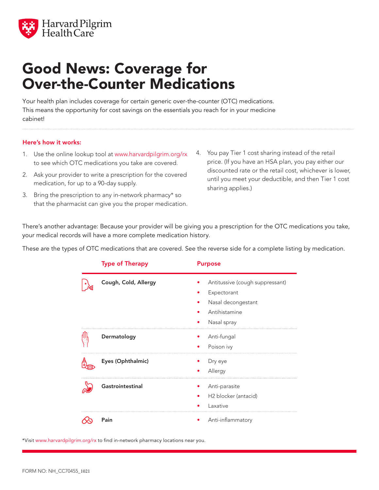

## Good News: Coverage for Over-the-Counter Medications

Your health plan includes coverage for certain generic over-the-counter (OTC) medications. This means the opportunity for cost savings on the essentials you reach for in your medicine cabinet!

## Here's how it works:

- 1. Use the online lookup tool at www.harvardpilgrim.org/rx to see which OTC medications you take are covered.
- 2. Ask your provider to write a prescription for the covered medication, for up to a 90-day supply.
- 3. Bring the prescription to any in-network pharmacy\* so that the pharmacist can give you the proper medication.
- 4. You pay Tier 1 cost sharing instead of the retail price. (If you have an HSA plan, you pay either our discounted rate or the retail cost, whichever is lower, until you meet your deductible, and then Tier 1 cost sharing applies.)

There's another advantage: Because your provider will be giving you a prescription for the OTC medications you take, your medical records will have a more complete medication history.

These are the types of OTC medications that are covered. See the reverse side for a complete listing by medication.

| <b>Type of Therapy</b> | <b>Purpose</b>                                                                                       |
|------------------------|------------------------------------------------------------------------------------------------------|
| Cough, Cold, Allergy   | Antitussive (cough suppressant)<br>Expectorant<br>Nasal decongestant<br>Antihistamine<br>Nasal spray |
| Dermatology            | Anti-fungal<br>Poison ivy                                                                            |
| Eyes (Ophthalmic)      | Dry eye<br>Allergy                                                                                   |
| Gastrointestinal       | Anti-parasite<br>H <sub>2</sub> blocker (antacid)<br>Laxative                                        |
| Pain                   | Anti-inflammatory                                                                                    |

\*Visit www.harvardpilgrim.org/rx to find in-network pharmacy locations near you.